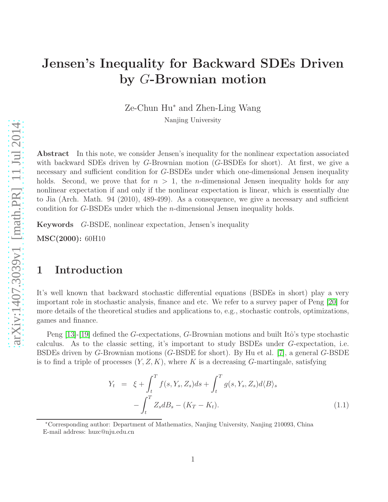# Jensen's Inequality for Backward SDEs Driven by G-Brownian motion

Ze-Chun Hu<sup>∗</sup> and Zhen-Ling Wang

Nanjing University

Abstract In this note, we consider Jensen's inequality for the nonlinear expectation associated with backward SDEs driven by G-Brownian motion (G-BSDEs for short). At first, we give a necessary and sufficient condition for G-BSDEs under which one-dimensional Jensen inequality holds. Second, we prove that for  $n > 1$ , the *n*-dimensional Jensen inequality holds for any nonlinear expectation if and only if the nonlinear expectation is linear, which is essentially due to Jia (Arch. Math. 94 (2010), 489-499). As a consequence, we give a necessary and sufficient condition for G-BSDEs under which the n-dimensional Jensen inequality holds.

Keywords G-BSDE, nonlinear expectation, Jensen's inequality

MSC(2000): 60H10

## 1 Introduction

It's well known that backward stochastic differential equations (BSDEs in short) play a very important role in stochastic analysis, finance and etc. We refer to a survey paper of Peng [\[20\]](#page-10-0) for more details of the theoretical studies and applications to, e.g., stochastic controls, optimizations, games and finance.

Peng [\[13\]](#page-9-0)-[\[19\]](#page-10-1) defined the G-expectations, G-Brownian motions and built Itô's type stochastic calculus. As to the classic setting, it's important to study BSDEs under G-expectation, i.e. BSDEs driven by G-Brownian motions (G-BSDE for short). By Hu et al. [\[7\]](#page-9-1), a general G-BSDE is to find a triple of processes  $(Y, Z, K)$ , where K is a decreasing G-martingale, satisfying

<span id="page-0-0"></span>
$$
Y_t = \xi + \int_t^T f(s, Y_s, Z_s) ds + \int_t^T g(s, Y_s, Z_s) d\langle B \rangle_s - \int_t^T Z_s dB_s - (K_T - K_t).
$$
 (1.1)

<sup>∗</sup>Corresponding author: Department of Mathematics, Nanjing University, Nanjing 210093, China E-mail address: huzc@nju.edu.cn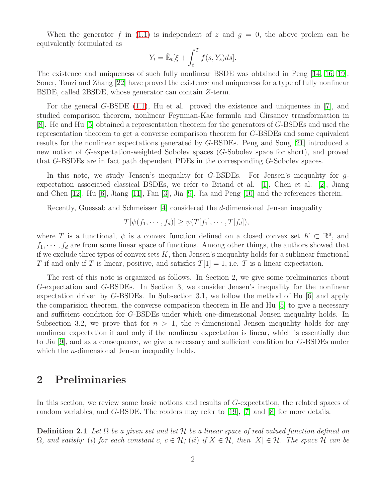When the generator f in [\(1.1\)](#page-0-0) is independent of z and  $g = 0$ , the above prolem can be equivalently formulated as

$$
Y_t = \hat{\mathbb{E}}_t[\xi + \int_t^T f(s, Y_s) ds].
$$

The existence and uniqueness of such fully nonlinear BSDE was obtained in Peng [\[14,](#page-9-2) [16,](#page-10-2) [19\]](#page-10-1). Soner, Touzi and Zhang [\[22\]](#page-10-3) have proved the existence and uniqueness for a type of fully nonlinear BSDE, called 2BSDE, whose generator can contain Z-term.

For the general G-BSDE [\(1.1\)](#page-0-0), Hu et al. proved the existence and uniqueness in [\[7\]](#page-9-1), and studied comparison theorem, nonlinear Feynman-Kac formula and Girsanov transformation in [\[8\]](#page-9-3). He and Hu [\[5\]](#page-9-4) obtained a representation theorem for the generators of G-BSDEs and used the representation theorem to get a converse comparison theorem for G-BSDEs and some equivalent results for the nonlinear expectations generated by G-BSDEs. Peng and Song [\[21\]](#page-10-4) introduced a new notion of G-expectation-weighted Sobolev spaces (G-Sobolev space for short), and proved that G-BSDEs are in fact path dependent PDEs in the corresponding G-Sobolev spaces.

In this note, we study Jensen's inequality for G-BSDEs. For Jensen's inequality for gexpectation associated classical BSDEs, we refer to Briand et al. [\[1\]](#page-9-5), Chen et al. [\[2\]](#page-9-6), Jiang and Chen [\[12\]](#page-9-7), Hu [\[6\]](#page-9-8), Jiang [\[11\]](#page-9-9), Fan [\[3\]](#page-9-10), Jia [\[9\]](#page-9-11), Jia and Peng [\[10\]](#page-9-12) and the references therein.

Recently, Guessab and Schmeisser [\[4\]](#page-9-13) considered the d-dimensional Jensen inequality

$$
T[\psi(f_1,\cdots,f_d)] \geq \psi(T[f_1],\cdots,T[f_d]),
$$

where T is a functional,  $\psi$  is a convex function defined on a closed convex set  $K \subset \mathbb{R}^d$ , and  $f_1, \dots, f_d$  are from some linear space of functions. Among other things, the authors showed that if we exclude three types of convex sets  $K$ , then Jensen's inequality holds for a sublinear functional T if and only if T is linear, positive, and satisfies  $T[1] = 1$ , i.e. T is a linear expectation.

The rest of this note is organized as follows. In Section 2, we give some preliminaries about G-expectation and G-BSDEs. In Section 3, we consider Jensen's inequality for the nonlinear expectation driven by G-BSDEs. In Subsection 3.1, we follow the method of Hu [\[6\]](#page-9-8) and apply the comparision theorem, the converse comparison theorem in He and Hu [\[5\]](#page-9-4) to give a necessary and sufficient condition for G-BSDEs under which one-dimensional Jensen inequality holds. In Subsection 3.2, we prove that for  $n > 1$ , the *n*-dimensional Jensen inequality holds for any nonlinear expectation if and only if the nonlinear expectation is linear, which is essentially due to Jia [\[9\]](#page-9-11), and as a consequence, we give a necessary and sufficient condition for G-BSDEs under which the *n*-dimensional Jensen inequality holds.

## 2 Preliminaries

<span id="page-1-0"></span>In this section, we review some basic notions and results of G-expectation, the related spaces of random variables, and G-BSDE. The readers may refer to [\[19\]](#page-10-1), [\[7\]](#page-9-1) and [\[8\]](#page-9-3) for more details.

Definition 2.1 *Let* Ω *be a given set and let* H *be a linear space of real valued function defined on*  $\Omega$ *, and satisfy:* (i) for each constant c,  $c \in \mathcal{H}$ ; (ii) if  $X \in \mathcal{H}$ *, then*  $|X| \in \mathcal{H}$ *. The space*  $\mathcal{H}$  *can be*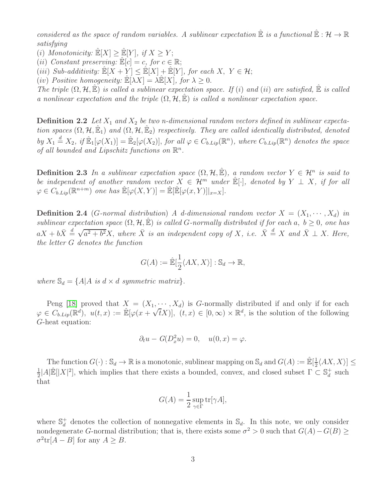*considered as the space of random variables.* A sublinear expectation  $\mathbb{\hat{E}}$  *is a functional*  $\mathbb{\hat{E}} : \mathcal{H} \to \mathbb{R}$ *satisfying*

(i) *Monotonicity:*  $\mathbb{E}[X] > \mathbb{E}[Y]$ *, if*  $X > Y$ ;

(*ii*) *Constant preserving:*  $\mathbb{E}[c] = c$ , for  $c \in \mathbb{R}$ ;

(iii) *Sub-additivity:*  $\mathbb{E}[X+Y] \leq \mathbb{E}[X] + \mathbb{E}[Y]$ *, for each*  $X, Y \in \mathcal{H}$ ;

(*iv*) *Positive homogeneity:*  $\mathbb{E}[\lambda X] = \lambda \mathbb{E}[X]$ , for  $\lambda \geq 0$ .

*The triple*  $(\Omega, \mathcal{H}, \hat{\mathbb{E}})$  *is called a sublinear expectation space. If* (*i*) *and* (*ii*) *are satisfied*,  $\hat{\mathbb{E}}$  *is called a nonlinear expectation and the triple*  $(\Omega, \mathcal{H}, \mathbb{E})$  *is called a nonlinear expectation space.* 

**Definition 2.2** Let  $X_1$  and  $X_2$  be two n-dimensional random vectors defined in sublinear expecta*tion spaces*  $(\Omega, \mathcal{H}, \hat{\mathbb{E}}_1)$  *and*  $(\Omega, \mathcal{H}, \hat{\mathbb{E}}_2)$  *respectively. They are called identically distributed, denoted*  $by X_1 \stackrel{d}{=} X_2$ , if  $\mathbb{E}_1[\varphi(X_1)] = \mathbb{E}_2[\varphi(X_2)]$ , *for all*  $\varphi \in C_{b.Lip}(\mathbb{R}^n)$ , where  $C_{b.Lip}(\mathbb{R}^n)$  denotes the space of all bounded and Lipschitz functions on  $\mathbb{R}^n$ .

**Definition 2.3** *In a sublinear expectation space*  $(\Omega, \mathcal{H}, \hat{\mathbb{E}})$ , a random vector  $Y \in \mathcal{H}^n$  is said to *be independent of another random vector*  $X \in \mathcal{H}^m$  *under*  $\mathbb{E}[\cdot]$ *, denoted by*  $Y \perp X$ *, if for all*  $\varphi \in C_{b.Lip}(\mathbb{R}^{n+m})$  one has  $\mathbb{E}[\varphi(X,Y)] = \mathbb{E}[\mathbb{E}[\varphi(x,Y)]|_{x=X}].$ 

**Definition 2.4** (G-normal distribution) A d-dimensional random vector  $X = (X_1, \dots, X_d)$  in *sublinear expectation space*  $(\Omega, \mathcal{H}, \hat{\mathbb{E}})$  *is called* G-normally distributed if for each a,  $b \geq 0$ , one has  $aX + b\overline{X} \stackrel{d}{=} \sqrt{a^2 + b^2}X$ , where  $\overline{X}$  *is an independent copy of* X*, i.e.*  $\overline{X} \stackrel{d}{=} X$  *and*  $\overline{X} \perp X$ *. Here, the letter* G *denotes the function*

$$
G(A) := \mathbb{\hat{E}}[\frac{1}{2} \langle AX, X \rangle] : \mathbb{S}_d \to \mathbb{R},
$$

*where*  $\mathbb{S}_d = \{A | A \text{ is } d \times d \text{ symmetric matrix}\}.$ 

Peng [\[18\]](#page-10-5) proved that  $X = (X_1, \dots, X_d)$  is G-normally distributed if and only if for each  $\varphi \in C_{b.Lip}(\mathbb{R}^d)$ ,  $u(t, x) := \mathbb{E}[\varphi(x + \sqrt{t}X)], (t, x) \in [0, \infty) \times \mathbb{R}^d$ , is the solution of the following G-heat equation:

$$
\partial_t u - G(D_x^2 u) = 0, \quad u(0, x) = \varphi.
$$

The function  $G(\cdot): \mathbb{S}_d \to \mathbb{R}$  is a monotonic, sublinear mapping on  $\mathbb{S}_d$  and  $G(A) := \mathbb{E}[\frac{1}{2}]$  $\frac{1}{2} \langle AX, X \rangle \leq$ 1  $\frac{1}{2}$ |A| $\mathbb{E}[|X|^2]$ , which implies that there exists a bounded, convex, and closed subset  $\Gamma \subset \mathbb{S}_d^+$  $_d^+$  such that

$$
G(A) = \frac{1}{2} \sup_{\gamma \in \Gamma} \text{tr}[\gamma A],
$$

where  $\mathbb{S}_d^+$ <sup> $^+_d$ </sup> denotes the collection of nonnegative elements in  $\mathbb{S}_d$ . In this note, we only consider nondegenerate G-normal distribution; that is, there exists some  $\sigma^2 > 0$  such that  $G(A) - G(B) \ge$  $\sigma^2 \text{tr}[A - B]$  for any  $A \geq B$ .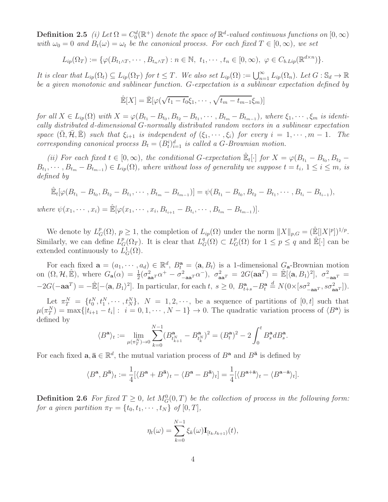**Definition 2.5** *(i)* Let  $\Omega = C_0^d(\mathbb{R}^+)$  denote the space of  $\mathbb{R}^d$ -valued continuous functions on  $[0, \infty)$ *with*  $\omega_0 = 0$  *and*  $B_t(\omega) = \omega_t$  *be the canonical process. For each fixed*  $T \in [0, \infty)$ *, we set* 

$$
L_{ip}(\Omega_T) := \{ \varphi(B_{t_1 \wedge T}, \cdots, B_{t_n \wedge T}) : n \in \mathbb{N}, t_1, \cdots, t_n \in [0, \infty), \varphi \in C_{b.Lip}(\mathbb{R}^{d \times n}) \}.
$$

*It is clear that*  $L_{ip}(\Omega_t) \subseteq L_{ip}(\Omega_T)$  *for*  $t \leq T$ *. We also set*  $L_{ip}(\Omega) := \bigcup_{n=1}^{\infty} L_{ip}(\Omega_n)$ *. Let*  $G : \mathbb{S}_d \to \mathbb{R}$ *be a given monotonic and sublinear function.* G*-expectation is a sublinear expectation defined by*

$$
\hat{\mathbb{E}}[X] = \bar{\mathbb{E}}[\varphi(\sqrt{t_1 - t_0}\xi_1, \cdots, \sqrt{t_m - t_{m-1}}\xi_m)]
$$

*for all*  $X \in L_{ip}(\Omega)$  *with*  $X = \varphi(B_{t_1} - B_{t_0}, B_{t_2} - B_{t_1}, \cdots, B_{t_m} - B_{t_{m-1}})$ *, where*  $\xi_1, \cdots, \xi_m$  *is identically distributed* d*-dimensional* G*-normally distributed random vectors in a sublinear expectation space*  $(\overline{\Omega}, \overline{\mathcal{H}}, \mathbb{E})$  *such that*  $\xi_{i+1}$  *is independent of*  $(\xi_1, \dots, \xi_i)$  *for every*  $i = 1, \dots, m - 1$ *. The corresponding canonical process*  $B_t = (B_t^i)_{i=1}^d$  *is called a G-Brownian motion.* 

(*ii*) For each fixed  $t \in [0, \infty)$ , the conditional G-expectation  $\mathbb{E}_t[\cdot]$  for  $X = \varphi(B_{t_1} - B_{t_0}, B_{t_2} B_{t_1}, \cdots, B_{t_m} - B_{t_{m-1}}) \in L_{ip}(\Omega)$ , where without loss of generality we suppose  $t = t_i, 1 \leq i \leq m$ , is *defined by*

$$
\hat{\mathbb{E}}_t[\varphi(B_{t_1} - B_{t_0}, B_{t_2} - B_{t_1}, \cdots, B_{t_m} - B_{t_{m-1}})] = \psi(B_{t_1} - B_{t_0}, B_{t_2} - B_{t_1}, \cdots, B_{t_i} - B_{t_{i-1}}),
$$
  
where  $\psi(x_1, \cdots, x_i) = \hat{\mathbb{E}}[\varphi(x_1, \cdots, x_i, B_{t_{i+1}} - B_{t_i}, \cdots, B_{t_m} - B_{t_{m-1}})].$ 

We denote by  $L^p_G(\Omega)$ ,  $p \geq 1$ , the completion of  $L_{ip}(\Omega)$  under the norm  $||X||_{p,G} = (\mathbb{E}[|X|^p])^{1/p}$ . Similarly, we can define  $L^p_G(\Omega_T)$ . It is clear that  $L^q_G(\Omega) \subset L^p_G(\Omega)$  for  $1 \leq p \leq q$  and  $\mathbb{E}[\cdot]$  can be extended continuously to  $L_G^1(\Omega)$ .

For each fixed  $\mathbf{a} = (a_1, \dots, a_d) \in \mathbb{R}^d$ ,  $B_t^{\mathbf{a}} = \langle \mathbf{a}, B_t \rangle$  is a 1-dimensional  $G_{\mathbf{a}}$ -Brownian motion on  $(\Omega, \mathcal{H}, \hat{\mathbb{E}})$ , where  $G_{\mathbf{a}}(\alpha) = \frac{1}{2}(\sigma_{\mathbf{a}\mathbf{a}^T}^2 \alpha^+ - \sigma_{-\mathbf{a}\mathbf{a}^T}^2 \alpha^-)$ ,  $\sigma_{\mathbf{a}\mathbf{a}^T}^2 = 2G(\mathbf{a}\mathbf{a}^T) = \hat{\mathbb{E}}[\langle \mathbf{a}, B_1 \rangle^2]$ ,  $\sigma_{-\mathbf{a}\mathbf{a}^T}^2 =$  $-2G(-aa^T) = -\mathbb{E}[-\langle \mathbf{a}, B_1 \rangle^2]$ . In particular, for each t,  $s \geq 0$ ,  $B_{t+s}^{\mathbf{a}} - B_t^{\mathbf{a}} \stackrel{d}{=} N(0 \times [s\sigma_{-\mathbf{a}\mathbf{a}^T}^2, s\sigma_{\mathbf{a}\mathbf{a}^T}^2])$ .

Let  $\pi_T^N = \{t_0^N, t_1^N, \cdots, t_N^N\},\ N = 1, 2, \cdots$ , be a sequence of partitions of  $[0, t]$  such that  $\mu(\pi_T^N) = \max\{|t_{i+1} - t_i| : i = 0, 1, \cdots, N-1\} \to 0.$  The quadratic variation process of  $\langle B^{\mathbf{a}} \rangle$  is defined by

$$
\langle B^{\mathbf{a}} \rangle_t := \lim_{\mu(\pi_1^N) \to 0} \sum_{k=0}^{N-1} (B^{\mathbf{a}}_{t_{k+1}^N} - B^{\mathbf{a}}_{t_k^N})^2 = (B^{\mathbf{a}}_t)^2 - 2 \int_0^t B^{\mathbf{a}}_s dB^{\mathbf{a}}_s.
$$

For each fixed  $\mathbf{a}, \bar{\mathbf{a}} \in \mathbb{R}^d$ , the mutual variation process of  $B^{\mathbf{a}}$  and  $B^{\bar{\mathbf{a}}}$  is defined by

$$
\langle B^{\mathbf{a}}, B^{\bar{\mathbf{a}}}\rangle_t := \frac{1}{4} [\langle B^{\mathbf{a}} + B^{\bar{\mathbf{a}}}\rangle_t - \langle B^{\mathbf{a}} - B^{\bar{\mathbf{a}}}\rangle_t] = \frac{1}{4} [\langle B^{\mathbf{a}+\bar{\mathbf{a}}}\rangle_t - \langle B^{\mathbf{a}-\bar{\mathbf{a}}}\rangle_t].
$$

**Definition 2.6** For fixed  $T \geq 0$ , let  $M_G^0(0,T)$  be the collection of process in the following form: *for a given partition*  $\pi_T = \{t_0, t_1, \cdots, t_N\}$  *of*  $[0, T]$ *,* 

$$
\eta_t(\omega) = \sum_{k=0}^{N-1} \xi_k(\omega) \mathbf{I}_{[t_k, t_{k+1})}(t),
$$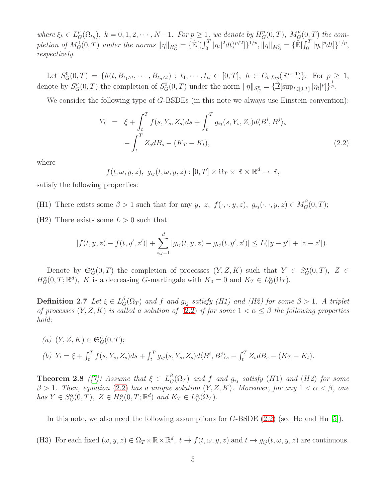where  $\xi_k \in L_G^p(\Omega_{t_k}), k = 0, 1, 2, \cdots, N-1$ . For  $p \geq 1$ , we denote by  $H_G^p(0,T), M_G^p(0,T)$  the completion of  $M_G^0(0,T)$  under the norms  $\|\eta\|_{H^p_G} = {\{\hat{\mathbb{E}}[(\int_0^T |\eta_t|^2 dt)^{p/2}]\}}^{1/p}, \|\eta\|_{M^p_G} = {\{\hat{\mathbb{E}}[\int_0^T |\eta_t|^p dt]\}}^{1/p},$ *respectively.*

Let  $S_G^0(0,T) = \{h(t, B_{t_1 \wedge t}, \cdots, B_{t_n \wedge t}) : t_1, \cdots, t_n \in [0,T], h \in C_{b.Lip}(\mathbb{R}^{n+1})\}.$  For  $p \geq 1$ , denote by  $S_G^p(0,T)$  the completion of  $S_G^0(0,T)$  under the norm  $||\eta||_{S_G^p} = {\{\mathbb{R}[\sup_{t\in[0,T]} |\eta_t|^p]\}}^{\frac{1}{p}}$ .

We consider the following type of G-BSDEs (in this note we always use Einstein convention):

<span id="page-4-0"></span>
$$
Y_t = \xi + \int_t^T f(s, Y_s, Z_s) ds + \int_t^T g_{ij}(s, Y_s, Z_s) d\langle B^i, B^j \rangle_s
$$

$$
- \int_t^T Z_s dB_s - (K_T - K_t), \qquad (2.2)
$$

where

 $f(t, \omega, y, z), g_{ij}(t, \omega, y, z) : [0, T] \times \Omega_T \times \mathbb{R} \times \mathbb{R}^d \to \mathbb{R},$ 

satisfy the following properties:

(H1) There exists some  $\beta > 1$  such that for any y, z,  $f(\cdot, \cdot, y, z)$ ,  $g_{ij}(\cdot, \cdot, y, z) \in M_G^{\beta}(0,T)$ ;

(H2) There exists some  $L > 0$  such that

$$
|f(t,y,z)-f(t,y',z')|+\sum_{i,j=1}^d|g_{ij}(t,y,z)-g_{ij}(t,y',z')|\leq L(|y-y'|+|z-z'|).
$$

Denote by  $\mathfrak{S}_G^{\alpha}(0,T)$  the completion of processes  $(Y, Z, K)$  such that  $Y \in S_G^{\alpha}(0,T)$ ,  $Z \in$  $H_G^{\alpha}(0,T;\mathbb{R}^d)$ , K is a decreasing G-martingale with  $K_0 = 0$  and  $K_T \in L_G^{\alpha}(\Omega_T)$ .

**Definition 2.7** *Let*  $\xi \in L_G^{\beta}(\Omega_T)$  *and*  $f$  *and*  $g_{ij}$  *satisfy (H1) and (H2) for some*  $\beta > 1$ *.* A triplet *of processes*  $(Y, Z, K)$  *is called a solution of*  $(2.2)$  *if for some*  $1 < \alpha < \beta$  *the following properties hold:*

(a) 
$$
(Y, Z, K) \in \mathfrak{S}_G^{\alpha}(0, T);
$$
  
(b)  $Y_t = \xi + \int_t^T f(s, Y_s, Z_s) ds + \int_t^T g_{ij}(s, Y_s, Z_s) d\langle B^i, B^j \rangle_s - \int_t^T Z_s dB_s - (K_T - K_t).$ 

**Theorem 2.8** ([\[7\]](#page-9-1)) Assume that  $\xi \in L_G^{\beta}(\Omega_T)$  and f and  $g_{ij}$  satisfy (H1) and (H2) for some  $\beta > 1$ *. Then, equation* [\(2.2\)](#page-4-0) *has a unique solution*  $(Y, Z, K)$ *. Moreover, for any*  $1 < \alpha < \beta$ *, one*  $has Y \in S_G^{\alpha}(0, T), Z \in H_G^{\alpha}(0, T; \mathbb{R}^d)$  and  $K_T \in L_G^{\alpha}(\Omega_T)$ .

In this note, we also need the following assumptions for G-BSDE [\(2.2\)](#page-4-0) (see He and Hu [\[5\]](#page-9-4)).

(H3) For each fixed  $(\omega, y, z) \in \Omega_T \times \mathbb{R} \times \mathbb{R}^d$ ,  $t \to f(t, \omega, y, z)$  and  $t \to g_{ij}(t, \omega, y, z)$  are continuous.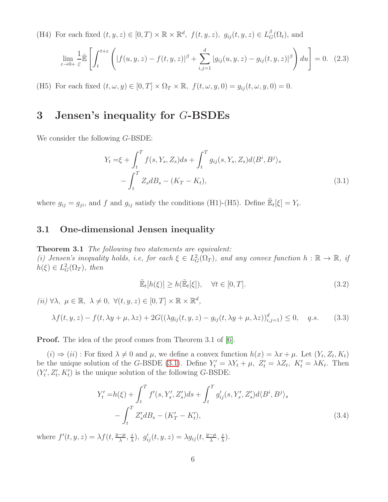(H4) For each fixed  $(t, y, z) \in [0, T) \times \mathbb{R} \times \mathbb{R}^d$ ,  $f(t, y, z)$ ,  $g_{ij}(t, y, z) \in L_G^{\beta}(\Omega_t)$ , and

$$
\lim_{\varepsilon \to 0+} \frac{1}{\varepsilon} \hat{\mathbb{E}} \left[ \int_t^{t+\varepsilon} \left( |f(u, y, z) - f(t, y, z)|^\beta + \sum_{i,j=1}^d |g_{ij}(u, y, z) - g_{ij}(t, y, z)|^\beta \right) du \right] = 0. \tag{2.3}
$$

(H5) For each fixed  $(t, \omega, y) \in [0, T] \times \Omega_T \times \mathbb{R}$ ,  $f(t, \omega, y, 0) = g_{ij}(t, \omega, y, 0) = 0$ .

## 3 Jensen's inequality for G-BSDEs

We consider the following G-BSDE:

$$
Y_t = \xi + \int_t^T f(s, Y_s, Z_s) ds + \int_t^T g_{ij}(s, Y_s, Z_s) d\langle B^i, B^j \rangle_s - \int_t^T Z_s dB_s - (K_T - K_t),
$$
\n(3.1)

where  $g_{ij} = g_{ji}$ , and f and  $g_{ij}$  satisfy the conditions (H1)-(H5). Define  $\mathbb{E}_t[\xi] = Y_t$ .

#### 3.1 One-dimensional Jensen inequality

Theorem 3.1 *The following two statements are equivalent:* (*i*) Jensen's inequality holds, i.e, for each  $\xi \in L^2_G(\Omega_T)$ , and any convex function  $h : \mathbb{R} \to \mathbb{R}$ , if  $h(\xi) \in L_G^2(\Omega_T)$ , then

<span id="page-5-3"></span><span id="page-5-2"></span><span id="page-5-1"></span><span id="page-5-0"></span>
$$
\tilde{\mathbb{E}}_t[h(\xi)] \ge h(\tilde{\mathbb{E}}_t[\xi]), \quad \forall t \in [0, T]. \tag{3.2}
$$

 $(ii) \ \forall \lambda, \ \mu \in \mathbb{R}, \ \lambda \neq 0, \ \forall (t, y, z) \in [0, T] \times \mathbb{R} \times \mathbb{R}^d,$  $\lambda f(t, y, z) - f(t, \lambda y + \mu, \lambda z) + 2G((\lambda g_{ij}(t, y, z) - g_{ij}(t, \lambda y + \mu, \lambda z))_{i,j=1}^d) \leq 0, \quad q.s.$  (3.3)

**Proof.** The idea of the proof comes from Theorem 3.1 of [\[6\]](#page-9-8).

 $(i) \Rightarrow (ii)$ : For fixed  $\lambda \neq 0$  and  $\mu$ , we define a convex function  $h(x) = \lambda x + \mu$ . Let  $(Y_t, Z_t, K_t)$ be the unique solution of the G-BSDE [\(3.1\)](#page-5-0). Define  $Y'_t = \lambda Y_t + \mu$ ,  $Z'_t = \lambda Z_t$ ,  $K'_t = \lambda K_t$ . Then  $(Y'_t)$  $t'$ ,  $Z'_{t}$ ,  $K'_{t}$ ) is the unique solution of the following G-BSDE:

$$
Y'_t = h(\xi) + \int_t^T f'(s, Y'_s, Z'_s)ds + \int_t^T g'_{ij}(s, Y'_s, Z'_s)d\langle B^i, B^j \rangle_s - \int_t^T Z'_s dB_s - (K'_T - K'_t),
$$
\n(3.4)

where  $f'(t, y, z) = \lambda f(t, \frac{y-\mu}{\lambda}, \frac{z}{\lambda})$  $(\frac{z}{\lambda}), g'_{ij}(t, y, z) = \lambda g_{ij}(t, \frac{y-\mu}{\lambda}, \frac{z}{\lambda})$  $\frac{z}{\lambda}$ ).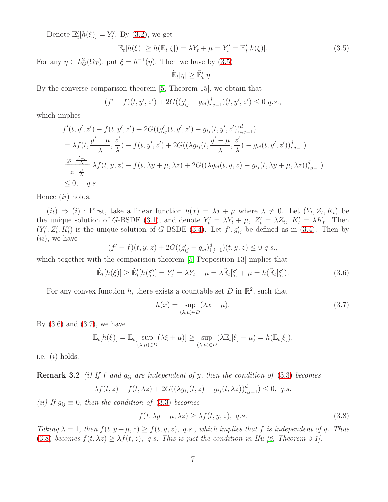Denote  $\mathbb{E}'_t[h(\xi)] = Y'_t$  $t'$ . By  $(3.2)$ , we get

$$
\tilde{\mathbb{E}}_t[h(\xi)] \ge h(\tilde{\mathbb{E}}_t[\xi]) = \lambda Y_t + \mu = Y'_t = \tilde{\mathbb{E}}'_t[h(\xi)].\tag{3.5}
$$

For any  $\eta \in L_G^2(\Omega_T)$ , put  $\xi = h^{-1}(\eta)$ . Then we have by [\(3.5\)](#page-6-0)

<span id="page-6-0"></span>
$$
\tilde{\mathbb{E}}_t[\eta] \geq \tilde{\mathbb{E}}'_t[\eta].
$$

By the converse comparison theorem [\[5,](#page-9-4) Theorem 15], we obtain that

$$
(f'-f)(t, y', z') + 2G((g'_{ij} - g_{ij})_{i,j=1}^d)(t, y', z') \le 0 \text{ q.s.},
$$

which implies

$$
f'(t, y', z') - f(t, y', z') + 2G((g'_{ij}(t, y', z') - g_{ij}(t, y', z'))_{i,j=1}^d)
$$
  
=  $\lambda f(t, \frac{y' - \mu}{\lambda}, \frac{z'}{\lambda}) - f(t, y', z') + 2G((\lambda g_{ij}(t, \frac{y' - \mu}{\lambda}, \frac{z'}{\lambda}) - g_{ij}(t, y', z'))_{i,j=1}^d)$   

$$
\frac{y := \frac{y' - \mu}{\lambda}}{z := \frac{z'}{\lambda}} \lambda f(t, y, z) - f(t, \lambda y + \mu, \lambda z) + 2G((\lambda g_{ij}(t, y, z) - g_{ij}(t, \lambda y + \mu, \lambda z))_{i,j=1}^d)
$$
  
 $\leq 0, \quad q.s.$ 

Hence  $(ii)$  holds.

 $(ii) \Rightarrow (i)$ : First, take a linear function  $h(x) = \lambda x + \mu$  where  $\lambda \neq 0$ . Let  $(Y_t, Z_t, K_t)$  be the unique solution of G-BSDE [\(3.1\)](#page-5-0), and denote  $Y'_t = \lambda Y_t + \mu$ ,  $Z'_t = \lambda Z_t$ ,  $K'_t = \lambda K_t$ . Then  $(Y'_t)$  $(t', Z'_t, K'_t)$  is the unique solution of G-BSDE [\(3.4\)](#page-5-2). Let  $f', g'_{ij}$  be defined as in (3.4). Then by  $(ii)$ , we have

$$
(f'-f)(t,y,z) + 2G((g'_{ij} - g_{ij})_{i,j=1}^d)(t,y,z) \le 0 \text{ q.s.},
$$

which together with the comparision theorem [\[5,](#page-9-4) Proposition 13] implies that

$$
\tilde{\mathbb{E}}_t[h(\xi)] \ge \tilde{\mathbb{E}}_t'[h(\xi)] = Y_t' = \lambda Y_t + \mu = \lambda \tilde{\mathbb{E}}_t[\xi] + \mu = h(\tilde{\mathbb{E}}_t[\xi]).
$$
\n(3.6)

For any convex function h, there exists a countable set D in  $\mathbb{R}^2$ , such that

$$
h(x) = \sup_{(\lambda,\mu)\in D} (\lambda x + \mu).
$$
 (3.7)

By  $(3.6)$  and  $(3.7)$ , we have

$$
\tilde{\mathbb{E}}_t[h(\xi)] = \tilde{\mathbb{E}}_t[\sup_{(\lambda,\mu)\in D} (\lambda\xi + \mu)] \ge \sup_{(\lambda,\mu)\in D} (\lambda\tilde{\mathbb{E}}_t[\xi] + \mu) = h(\tilde{\mathbb{E}}_t[\xi]),
$$

i.e.  $(i)$  holds.

Remark 3.2 *(i) If* f *and* gij *are independent of* y*, then the condition of* [\(3.3\)](#page-5-3) *becomes*

$$
\lambda f(t, z) - f(t, \lambda z) + 2G((\lambda g_{ij}(t, z) - g_{ij}(t, \lambda z))_{i,j=1}^d) \le 0, \ q.s.
$$

*(ii)* If  $g_{ij} \equiv 0$ *, then the condition of* [\(3.3\)](#page-5-3) *becomes* 

$$
f(t, \lambda y + \mu, \lambda z) \ge \lambda f(t, y, z), \ q.s.
$$
\n(3.8)

*Taking*  $\lambda = 1$ *, then*  $f(t, y + \mu, z) \ge f(t, y, z)$ *, q.s., which implies that* f *is independent of y. Thus* [\(3.8\)](#page-6-3) *becomes*  $f(t, \lambda z) \geq \lambda f(t, z)$ , q.s. *This is just the condition in Hu* [\[6,](#page-9-8) *Theorem 3.1*].

<span id="page-6-3"></span><span id="page-6-2"></span><span id="page-6-1"></span> $\Box$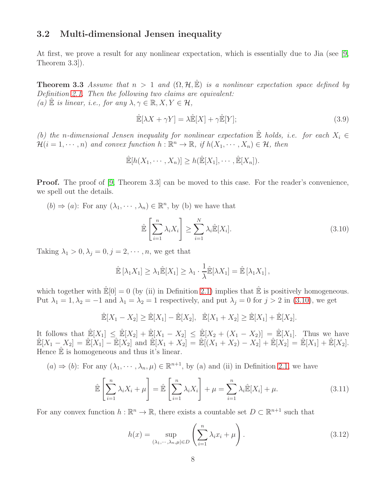#### 3.2 Multi-dimensional Jensen inequality

At first, we prove a result for any nonlinear expectation, which is essentially due to Jia (see [\[9,](#page-9-11) Theorem 3.3]).

**Theorem 3.3** *Assume that*  $n > 1$  *and*  $(\Omega, \mathcal{H}, \hat{\mathbb{E}})$  *is a nonlinear expectation space defined by Definition [2.1.](#page-1-0) Then the following two claims are equivalent:*  $(a) \mathbb{E}$  *is linear, i.e., for any*  $\lambda, \gamma \in \mathbb{R}, X, Y \in \mathcal{H}$ ,

$$
\mathbb{E}[\lambda X + \gamma Y] = \lambda \mathbb{E}[X] + \gamma \mathbb{E}[Y];\tag{3.9}
$$

*(b)* the n-dimensional Jensen inequality for nonlinear expectation  $\mathbb{\hat{E}}$  holds, i.e. for each  $X_i \in$  $\mathcal{H}(i = 1, \dots, n)$  and convex function  $h : \mathbb{R}^n \to \mathbb{R}$ , if  $h(X_1, \dots, X_n) \in \mathcal{H}$ , then

$$
\mathbb{E}[h(X_1,\cdots,X_n)] \geq h(\mathbb{E}[X_1],\cdots,\mathbb{E}[X_n]).
$$

**Proof.** The proof of [\[9,](#page-9-11) Theorem 3.3] can be moved to this case. For the reader's convenience, we spell out the details.

 $(b) \Rightarrow (a)$ : For any  $(\lambda_1, \dots, \lambda_n) \in \mathbb{R}^n$ , by (b) we have that

<span id="page-7-0"></span>
$$
\hat{\mathbb{E}}\left[\sum_{i=1}^{n} \lambda_i X_i\right] \ge \sum_{i=1}^{N} \lambda_i \hat{\mathbb{E}}[X_i].
$$
\n(3.10)

Taking  $\lambda_1 > 0, \lambda_j = 0, j = 2, \dots, n$ , we get that

$$
\mathbb{\hat{E}}\left[\lambda_1 X_1\right] \geq \lambda_1 \mathbb{\hat{E}}[X_1] \geq \lambda_1 \cdot \frac{1}{\lambda} \mathbb{\hat{E}}[\lambda X_1] = \mathbb{\hat{E}}\left[\lambda_1 X_1\right],
$$

which together with  $\mathbb{E}[0] = 0$  (by (ii) in Definition [2.1\)](#page-1-0) implies that  $\mathbb{E}$  is positively homogeneous. Put  $\lambda_1 = 1, \lambda_2 = -1$  and  $\lambda_1 = \lambda_2 = 1$  respectively, and put  $\lambda_j = 0$  for  $j > 2$  in [\(3.10\)](#page-7-0), we get

$$
\hat{\mathbb{E}}[X_1 - X_2] \ge \hat{\mathbb{E}}[X_1] - \hat{\mathbb{E}}[X_2], \quad \hat{\mathbb{E}}[X_1 + X_2] \ge \hat{\mathbb{E}}[X_1] + \hat{\mathbb{E}}[X_2].
$$

It follows that  $\mathbb{E}[X_1] \leq \mathbb{E}[X_2] + \mathbb{E}[X_1 - X_2] \leq \mathbb{E}[X_2 + (X_1 - X_2)] = \mathbb{E}[X_1]$ . Thus we have  $\mathbb{E}[X_1 - X_2] = \mathbb{E}[X_1] - \mathbb{E}[X_2]$  and  $\mathbb{E}[X_1 + X_2] = \mathbb{E}[(X_1 + X_2) - X_2] + \mathbb{E}[X_2] = \mathbb{E}[X_1] + \mathbb{E}[X_2]$ . Hence  $\mathbb{\hat{E}}$  is homogeneous and thus it's linear.

(a) 
$$
\Rightarrow
$$
 (b): For any  $(\lambda_1, \dots, \lambda_n, \mu) \in \mathbb{R}^{n+1}$ , by (a) and (ii) in Definition 2.1, we have

<span id="page-7-1"></span>
$$
\hat{\mathbb{E}}\left[\sum_{i=1}^{n} \lambda_i X_i + \mu\right] = \hat{\mathbb{E}}\left[\sum_{i=1}^{n} \lambda_i X_i\right] + \mu = \sum_{i=1}^{n} \lambda_i \hat{\mathbb{E}}[X_i] + \mu. \tag{3.11}
$$

For any convex function  $h : \mathbb{R}^n \to \mathbb{R}$ , there exists a countable set  $D \subset \mathbb{R}^{n+1}$  such that

<span id="page-7-2"></span>
$$
h(x) = \sup_{(\lambda_1, \cdots, \lambda_n, \mu) \in D} \left( \sum_{i=1}^n \lambda_i x_i + \mu \right).
$$
 (3.12)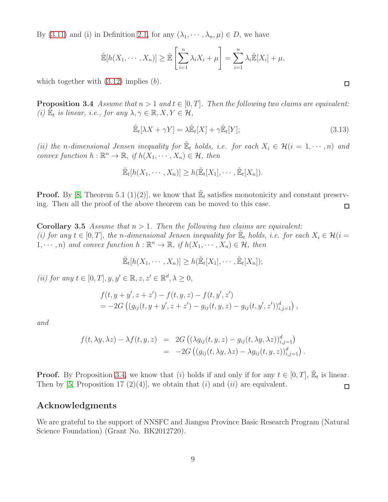By [\(3.11\)](#page-7-1) and (i) in Definition [2.1,](#page-1-0) for any  $(\lambda_1, \dots, \lambda_n, \mu) \in D$ , we have

$$
\hat{\mathbb{E}}[h(X_1,\dots,X_n)] \geq \hat{\mathbb{E}}\left[\sum_{i=1}^n \lambda_i X_i + \mu\right] = \sum_{i=1}^n \lambda_i \hat{\mathbb{E}}[X_i] + \mu,
$$

<span id="page-8-0"></span>which together with  $(3.12)$  implies  $(b)$ .

**Proposition 3.4** *Assume that*  $n > 1$  *and*  $t \in [0, T]$ *. Then the following two claims are equivalent: (i)*  $\mathbb{E}_t$  *is linear, i.e., for any*  $\lambda, \gamma \in \mathbb{R}, X, Y \in \mathcal{H}$ ,

$$
\widetilde{\mathbb{E}}_t[\lambda X + \gamma Y] = \lambda \widetilde{\mathbb{E}}_t[X] + \gamma \widetilde{\mathbb{E}}_t[Y];\tag{3.13}
$$

*(ii) the n*-dimensional Jensen inequality for  $\mathbb{E}_t$  holds, i.e. for each  $X_i \in \mathcal{H}(i = 1, \dots, n)$  and *convex function*  $h : \mathbb{R}^n \to \mathbb{R}$ *, if*  $h(X_1, \dots, X_n) \in \mathcal{H}$ *, then* 

$$
\tilde{\mathbb{E}}_t[h(X_1,\cdots,X_n)] \ge h(\tilde{\mathbb{E}}_t[X_1],\cdots,\tilde{\mathbb{E}}_t[X_n]).
$$

**Proof.** By [\[8,](#page-9-3) Theorem 5.1 (1)(2)], we know that  $\mathbb{E}_t$  satisfies monotonicity and constant preserving. Then all the proof of the above theorem can be moved to this case.  $\Box$ 

**Corollary 3.5** *Assume that*  $n > 1$ *. Then the following two claims are equivalent: (i) for any*  $t \in [0, T]$ , the *n*-dimensional Jensen inequality for  $\mathbb{E}_t$  holds, i.e. for each  $X_i \in \mathcal{H}(i =$ 1,  $\cdots$ , *n*) and convex function  $h : \mathbb{R}^n \to \mathbb{R}$ , if  $h(X_1, \cdots, X_n) \in \mathcal{H}$ , then

$$
\tilde{\mathbb{E}}_t[h(X_1,\cdots,X_n)] \ge h(\tilde{\mathbb{E}}_t[X_1],\cdots,\tilde{\mathbb{E}}_t[X_n]);
$$

(*ii*) for any  $t \in [0, T], y, y' \in \mathbb{R}, z, z' \in \mathbb{R}^d, \lambda \geq 0$ ,

$$
f(t, y + y', z + z') - f(t, y, z) - f(t, y', z')
$$
  
= -2G  $((g_{ij}(t, y + y', z + z') - g_{ij}(t, y, z) - g_{ij}(t, y', z'))_{i,j=1}^d)$ ,

*and*

$$
f(t, \lambda y, \lambda z) - \lambda f(t, y, z) = 2G\left((\lambda g_{ij}(t, y, z) - g_{ij}(t, \lambda y, \lambda z))_{i,j=1}^d\right)
$$
  
= -2G\left((g\_{ij}(t, \lambda y, \lambda z) - \lambda g\_{ij}(t, y, z))\_{i,j=1}^d\right).

**Proof.** By Proposition [3.4,](#page-8-0) we know that (i) holds if and only if for any  $t \in [0, T]$ ,  $\mathbb{E}_t$  is linear. Then by [\[5,](#page-9-4) Proposition 17 (2)(4)], we obtain that (i) and (ii) are equivalent.

#### Acknowledgments

We are grateful to the support of NNSFC and Jiangsu Province Basic Research Program (Natural Science Foundation) (Grant No. BK2012720).

 $\Box$ 

$$
\Box
$$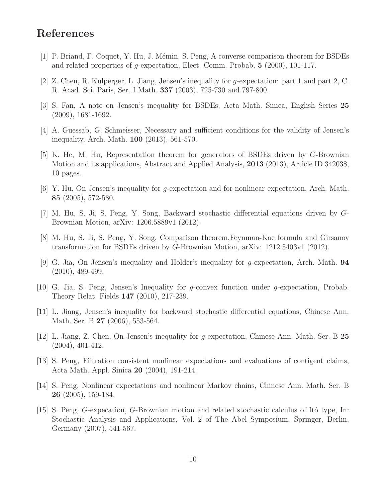# <span id="page-9-5"></span>References

- <span id="page-9-6"></span>[1] P. Briand, F. Coquet, Y. Hu, J. M´emin, S. Peng, A converse comparison theorem for BSDEs and related properties of g-expectation, Elect. Comm. Probab. 5 (2000), 101-117.
- <span id="page-9-10"></span>[2] Z. Chen, R. Kulperger, L. Jiang, Jensen's inequality for g-expectation: part 1 and part 2, C. R. Acad. Sci. Paris, Ser. I Math. 337 (2003), 725-730 and 797-800.
- <span id="page-9-13"></span>[3] S. Fan, A note on Jensen's inequality for BSDEs, Acta Math. Sinica, English Series 25 (2009), 1681-1692.
- <span id="page-9-4"></span>[4] A. Guessab, G. Schmeisser, Necessary and sufficient conditions for the validity of Jensen's inequality, Arch. Math. 100 (2013), 561-570.
- [5] K. He, M. Hu, Representation theorem for generators of BSDEs driven by G-Brownian Motion and its applications, Abstract and Applied Analysis, 2013 (2013), Article ID 342038, 10 pages.
- <span id="page-9-8"></span><span id="page-9-1"></span>[6] Y. Hu, On Jensen's inequality for g-expectation and for nonlinear expectation, Arch. Math. 85 (2005), 572-580.
- <span id="page-9-3"></span>[7] M. Hu, S. Ji, S. Peng, Y. Song, Backward stochastic differential equations driven by G-Brownian Motion, arXiv: 1206.5889v1 (2012).
- <span id="page-9-11"></span>[8] M. Hu, S. Ji, S. Peng, Y. Song, Comparison theorem,Feynman-Kac formula and Girsanov transformation for BSDEs driven by G-Brownian Motion, arXiv: 1212.5403v1 (2012).
- [9] G. Jia, On Jensen's inequality and Hölder's inequality for g-expectation, Arch. Math. **94** (2010), 489-499.
- <span id="page-9-12"></span><span id="page-9-9"></span>[10] G. Jia, S. Peng, Jensen's Inequality for g-convex function under g-expectation, Probab. Theory Relat. Fields 147 (2010), 217-239.
- <span id="page-9-7"></span>[11] L. Jiang, Jensen's inequality for backward stochastic differential equations, Chinese Ann. Math. Ser. B **27** (2006), 553-564.
- <span id="page-9-0"></span>[12] L. Jiang, Z. Chen, On Jensen's inequality for g-expectation, Chinese Ann. Math. Ser. B 25 (2004), 401-412.
- [13] S. Peng, Filtration consistent nonlinear expectations and evaluations of contigent claims, Acta Math. Appl. Sinica 20 (2004), 191-214.
- <span id="page-9-2"></span>[14] S. Peng, Nonlinear expectations and nonlinear Markov chains, Chinese Ann. Math. Ser. B 26 (2005), 159-184.
- [15] S. Peng, G-expecation, G-Brownian motion and related stochastic calculus of Itô type, In: Stochastic Analysis and Applications, Vol. 2 of The Abel Symposium, Springer, Berlin, Germany (2007), 541-567.